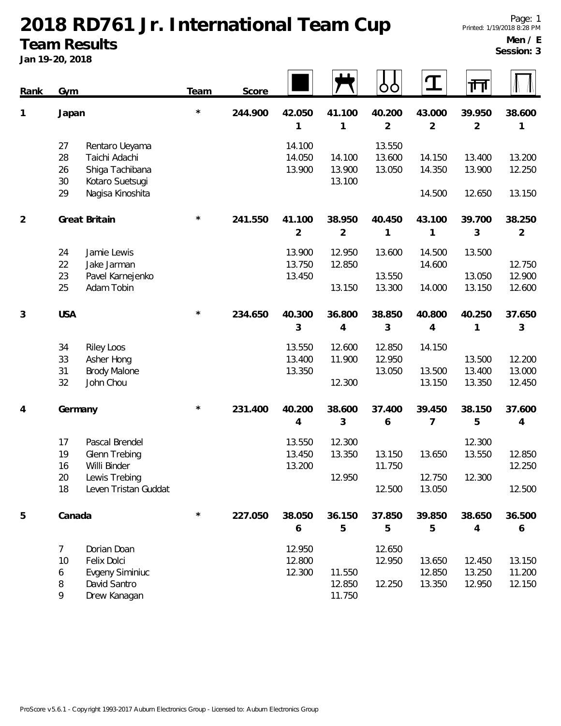#### **2018 RD761 Jr. International Team Cup Team Results**

**Jan 19-20, 2018**

**Men / E Session: 3**

|                | $3011 + 720$ , 2010                                                                                                         |            |         |                            |                            |                            |                            |                            |                            |
|----------------|-----------------------------------------------------------------------------------------------------------------------------|------------|---------|----------------------------|----------------------------|----------------------------|----------------------------|----------------------------|----------------------------|
| <b>Rank</b>    | Gym                                                                                                                         | Team       | Score   |                            |                            | ŌŌ                         | T                          | गेग                        |                            |
| 1              | Japan                                                                                                                       | $^\star$   | 244.900 | 42.050<br>1                | 41.100<br>1                | 40.200<br>$\overline{2}$   | 43.000<br>$\overline{2}$   | 39.950<br>$\overline{2}$   | 38.600<br>1                |
|                | 27<br>Rentaro Ueyama<br>28<br>Taichi Adachi<br>26<br>Shiga Tachibana<br>$30\,$<br>Kotaro Suetsugi<br>Nagisa Kinoshita<br>29 |            |         | 14.100<br>14.050<br>13.900 | 14.100<br>13.900<br>13.100 | 13.550<br>13.600<br>13.050 | 14.150<br>14.350<br>14.500 | 13.400<br>13.900<br>12.650 | 13.200<br>12.250<br>13.150 |
| $\overline{2}$ | Great Britain                                                                                                               | $^{\star}$ | 241.550 | 41.100<br>$\overline{2}$   | 38.950<br>$\overline{2}$   | 40.450<br>1                | 43.100<br>1                | 39.700<br>3                | 38.250<br>$\overline{2}$   |
|                | 24<br>Jamie Lewis<br>22<br>Jake Jarman<br>23<br>Pavel Karnejenko<br>25<br>Adam Tobin                                        |            |         | 13.900<br>13.750<br>13.450 | 12.950<br>12.850<br>13.150 | 13.600<br>13.550<br>13.300 | 14.500<br>14.600<br>14.000 | 13.500<br>13.050<br>13.150 | 12.750<br>12.900<br>12.600 |
| 3              | <b>USA</b>                                                                                                                  | $^{\star}$ | 234.650 | 40.300<br>3                | 36.800<br>4                | 38.850<br>3                | 40.800<br>4                | 40.250<br>1                | 37.650<br>3                |
|                | 34<br><b>Riley Loos</b><br>33<br>Asher Hong<br>31<br><b>Brody Malone</b><br>32<br>John Chou                                 |            |         | 13.550<br>13.400<br>13.350 | 12.600<br>11.900<br>12.300 | 12.850<br>12.950<br>13.050 | 14.150<br>13.500<br>13.150 | 13.500<br>13.400<br>13.350 | 12.200<br>13.000<br>12.450 |
| 4              | Germany                                                                                                                     | $^{\star}$ | 231.400 | 40.200<br>4                | 38.600<br>3                | 37.400<br>6                | 39.450<br>7                | 38.150<br>5                | 37.600<br>4                |
|                | Pascal Brendel<br>17<br>19<br>Glenn Trebing<br>16<br>Willi Binder<br>Lewis Trebing<br>20<br>18<br>Leven Tristan Guddat      |            |         | 13.550<br>13.450<br>13.200 | 12.300<br>13.350<br>12.950 | 13.150<br>11.750<br>12.500 | 13.650<br>12.750<br>13.050 | 12.300<br>13.550<br>12.300 | 12.850<br>12.250<br>12.500 |
| 5              | Canada                                                                                                                      | $\star$    | 227.050 | 38.050<br>6                | 36.150<br>5                | 37.850<br>5                | 39.850<br>5                | 38.650<br>$\overline{4}$   | 36.500<br>6                |
|                | 7<br>Dorian Doan<br>Felix Dolci<br>10<br><b>Evgeny Siminiuc</b><br>6<br>8<br>David Santro<br>9<br>Drew Kanagan              |            |         | 12.950<br>12.800<br>12.300 | 11.550<br>12.850<br>11.750 | 12.650<br>12.950<br>12.250 | 13.650<br>12.850<br>13.350 | 12.450<br>13.250<br>12.950 | 13.150<br>11.200<br>12.150 |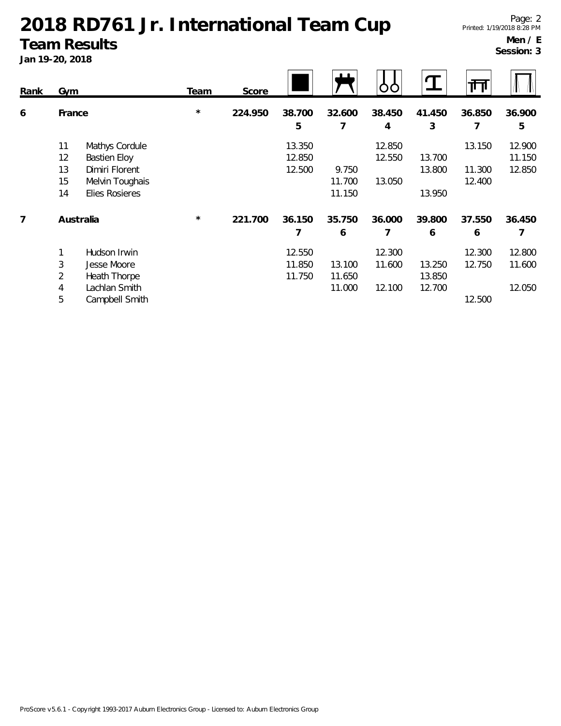#### **2018 RD761 Jr. International Team Cup Team Results**

**Jan 19-20, 2018**

**Men / E Session: 3**

| JAII 19-20, 2010 |            |                     |         |         |        |        |        |        |        |        |
|------------------|------------|---------------------|---------|---------|--------|--------|--------|--------|--------|--------|
| <b>Rank</b>      | <b>Gym</b> |                     | Team    | Score   |        |        |        |        | गि     |        |
| 6                | France     |                     | $\star$ | 224.950 | 38.700 | 32.600 | 38.450 | 41.450 | 36.850 | 36.900 |
|                  |            |                     |         |         | 5      | 7      | 4      | 3      | 7      | 5      |
|                  | 11         | Mathys Cordule      |         |         | 13.350 |        | 12.850 |        | 13.150 | 12.900 |
|                  | 12         | <b>Bastien Eloy</b> |         |         | 12.850 |        | 12.550 | 13.700 |        | 11.150 |
|                  | 13         | Dimiri Florent      |         |         | 12.500 | 9.750  |        | 13.800 | 11.300 | 12.850 |
|                  | 15         | Melvin Toughais     |         |         |        | 11.700 | 13.050 |        | 12.400 |        |
|                  | 14         | Elies Rosieres      |         |         |        | 11.150 |        | 13.950 |        |        |
| 7                |            | Australia           | $\star$ | 221.700 | 36.150 | 35.750 | 36.000 | 39.800 | 37.550 | 36.450 |
|                  |            |                     |         |         | 7      | 6      |        | 6      | 6      | 7      |
|                  |            | Hudson Irwin        |         |         | 12.550 |        | 12.300 |        | 12.300 | 12.800 |
|                  | 3          | Jesse Moore         |         |         | 11.850 | 13.100 | 11.600 | 13.250 | 12.750 | 11.600 |
|                  | 2          | Heath Thorpe        |         |         | 11.750 | 11.650 |        | 13.850 |        |        |
|                  | 4          | Lachlan Smith       |         |         |        | 11.000 | 12.100 | 12.700 |        | 12.050 |
|                  | 5          | Campbell Smith      |         |         |        |        |        |        | 12.500 |        |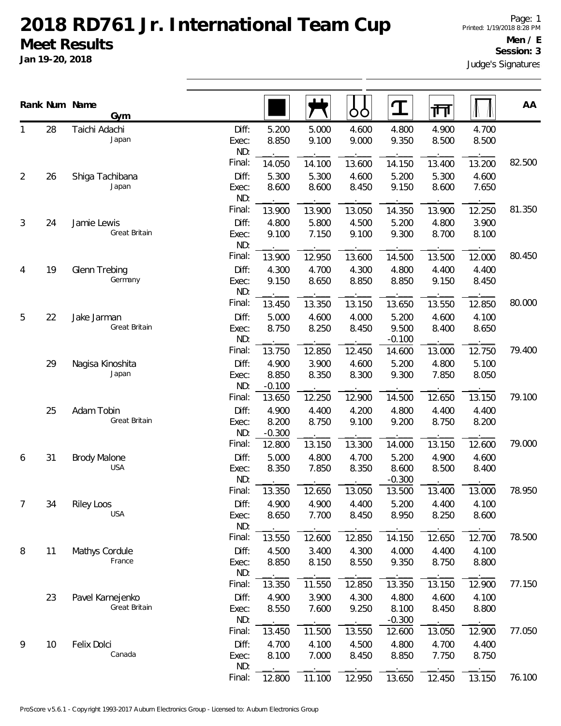## **2018 RD761 Jr. International Team Cup Meet Results**

**Jan 19-20, 2018**

#### **Session: 3**

Judge's Signatures

|                |    | Rank Num Name<br>Gym              |                                 |                             |                          | ŌÒ                       | ${\bf T}$                  | गा                       |                          | AA     |
|----------------|----|-----------------------------------|---------------------------------|-----------------------------|--------------------------|--------------------------|----------------------------|--------------------------|--------------------------|--------|
|                | 28 | Taichi Adachi<br>Japan            | Diff:<br>Exec:<br>ND:           | 5.200<br>8.850              | 5.000<br>9.100           | 4.600<br>9.000           | 4.800<br>9.350             | 4.900<br>8.500           | 4.700<br>8.500           |        |
| $\overline{2}$ | 26 | Shiga Tachibana<br>Japan          | Final:<br>Diff:<br>Exec:        | 14.050<br>5.300<br>8.600    | 14.100<br>5.300<br>8.600 | 13.600<br>4.600<br>8.450 | 14.150<br>5.200<br>9.150   | 13.400<br>5.300<br>8.600 | 13.200<br>4.600<br>7.650 | 82.500 |
|                |    |                                   | ND:<br>Final:                   | 13.900                      | 13.900                   | 13.050                   | 14.350                     | 13.900                   | 12.250                   | 81.350 |
| 3              | 24 | Jamie Lewis<br>Great Britain      | Diff:<br>Exec:<br>ND:           | 4.800<br>9.100              | 5.800<br>7.150           | 4.500<br>9.100           | 5.200<br>9.300             | 4.800<br>8.700           | 3.900<br>8.100           |        |
| 4              | 19 | Glenn Trebing<br>Germany          | Final:<br>Diff:<br>Exec:        | 13.900<br>4.300<br>9.150    | 12.950<br>4.700<br>8.650 | 13.600<br>4.300<br>8.850 | 14.500<br>4.800<br>8.850   | 13.500<br>4.400<br>9.150 | 12.000<br>4.400<br>8.450 | 80.450 |
|                |    |                                   | ND:<br>Final:                   | 13.450                      | 13.350                   | 13.150                   | 13.650                     | 13.550                   | 12.850                   | 80.000 |
| 5              | 22 | Jake Jarman<br>Great Britain      | Diff:<br>Exec:<br>ND:           | 5.000<br>8.750              | 4.600<br>8.250           | 4.000<br>8.450           | 5.200<br>9.500<br>$-0.100$ | 4.600<br>8.400           | 4.100<br>8.650           |        |
|                | 29 | Nagisa Kinoshita<br>Japan         | Final:<br>Diff:<br>Exec:        | 13.750<br>4.900<br>8.850    | 12.850<br>3.900<br>8.350 | 12.450<br>4.600<br>8.300 | 14.600<br>5.200<br>9.300   | 13.000<br>4.800<br>7.850 | 12.750<br>5.100<br>8.050 | 79.400 |
|                | 25 | Adam Tobin                        | ND:<br>Final:<br>Diff:          | $-0.100$<br>13.650<br>4.900 | 12.250<br>4.400          | 12.900<br>4.200          | 14.500<br>4.800            | 12.650<br>4.400          | 13.150<br>4.400          | 79.100 |
|                |    | Great Britain                     | Exec:<br>ND:<br>Final:          | 8.200<br>$-0.300$<br>12.800 | 8.750<br>13.150          | 9.100<br>13.300          | 9.200<br>14.000            | 8.750<br>13.150          | 8.200<br>12.600          | 79.000 |
| 6              | 31 | <b>Brody Malone</b><br><b>USA</b> | Diff:<br>Exec:<br>ND:           | 5.000<br>8.350              | 4.800<br>7.850           | 4.700<br>8.350           | 5.200<br>8.600<br>$-0.300$ | 4.900<br>8.500           | 4.600<br>8.400           |        |
| $\overline{7}$ | 34 | <b>Riley Loos</b><br><b>USA</b>   | Final:<br>Diff:<br>Exec:        | 13.350<br>4.900<br>8.650    | 12.650<br>4.900<br>7.700 | 13.050<br>4.400<br>8.450 | 13.500<br>5.200<br>8.950   | 13.400<br>4.400<br>8.250 | 13.000<br>4.100<br>8.600 | 78.950 |
| 8              | 11 | Mathys Cordule<br>France          | ND:<br>Final:<br>Diff:<br>Exec: | 13.550<br>4.500<br>8.850    | 12.600<br>3.400<br>8.150 | 12.850<br>4.300<br>8.550 | 14.150<br>4.000<br>9.350   | 12.650<br>4.400<br>8.750 | 12.700<br>4.100<br>8.800 | 78.500 |
|                |    |                                   | ND:<br>Final:                   | 13.350                      | 11.550                   | 12.850                   | 13.350                     | 13.150                   | 12.900                   | 77.150 |
|                | 23 | Pavel Karnejenko<br>Great Britain | Diff:<br>Exec:<br>ND:           | 4.900<br>8.550              | 3.900<br>7.600           | 4.300<br>9.250           | 4.800<br>8.100<br>$-0.300$ | 4.600<br>8.450           | 4.100<br>8.800           |        |
| 9              | 10 | Felix Dolci<br>Canada             | Final:<br>Diff:<br>Exec:<br>ND: | 13.450<br>4.700<br>8.100    | 11.500<br>4.100<br>7.000 | 13.550<br>4.500<br>8.450 | 12.600<br>4.800<br>8.850   | 13.050<br>4.700<br>7.750 | 12.900<br>4.400<br>8.750 | 77.050 |
|                |    |                                   | Final:                          | 12.800                      | 11.100                   | 12.950                   | 13.650                     | 12.450                   | 13.150                   | 76.100 |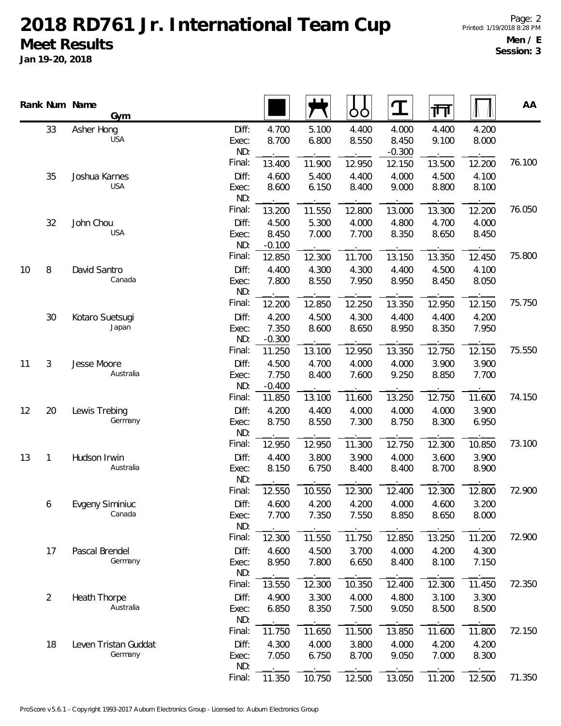## **2018 RD761 Jr. International Team Cup Meet Results**

**Jan 19-20, 2018**

|    |    | Rank Num Name<br>Gym            |                       |                   |                | ბბ             | $\mathbf T$                | जा             |                | AA     |
|----|----|---------------------------------|-----------------------|-------------------|----------------|----------------|----------------------------|----------------|----------------|--------|
|    | 33 | Asher Hong<br><b>USA</b>        | Diff:<br>Exec:<br>ND: | 4.700<br>8.700    | 5.100<br>6.800 | 4.400<br>8.550 | 4.000<br>8.450<br>$-0.300$ | 4.400<br>9.100 | 4.200<br>8.000 |        |
|    |    |                                 | Final:                | 13.400            | 11.900         | 12.950         | 12.150                     | 13.500         | 12.200         | 76.100 |
|    | 35 | Joshua Karnes                   | Diff:                 | 4.600             | 5.400          | 4.400          | 4.000                      | 4.500          | 4.100          |        |
|    |    | <b>USA</b>                      | Exec:<br>ND:          | 8.600             | 6.150          | 8.400          | 9.000                      | 8.800          | 8.100          |        |
|    |    |                                 | Final:                | 13.200            | 11.550         | 12.800         | 13.000                     | 13.300         | 12.200         | 76.050 |
|    | 32 | John Chou                       | Diff:                 | 4.500             | 5.300          | 4.000          | 4.800                      | 4.700          | 4.000          |        |
|    |    | <b>USA</b>                      | Exec:<br>ND:          | 8.450<br>$-0.100$ | 7.000          | 7.700          | 8.350                      | 8.650          | 8.450          |        |
|    |    |                                 | Final:                | 12.850            | 12.300         | 11.700         | 13.150                     | 13.350         | 12.450         | 75.800 |
| 10 | 8  | David Santro<br>Canada          | Diff:                 | 4.400             | 4.300          | 4.300          | 4.400                      | 4.500          | 4.100          |        |
|    |    |                                 | Exec:<br>ND:          | 7.800             | 8.550          | 7.950          | 8.950                      | 8.450          | 8.050          |        |
|    |    |                                 | Final:                | 12.200            | 12.850         | 12.250         | 13.350                     | 12.950         | 12.150         | 75.750 |
|    | 30 | Kotaro Suetsugi                 | Diff:                 | 4.200             | 4.500          | 4.300          | 4.400                      | 4.400          | 4.200          |        |
|    |    | Japan                           | Exec:<br>ND:          | 7.350<br>$-0.300$ | 8.600          | 8.650          | 8.950                      | 8.350          | 7.950          |        |
|    |    |                                 | Final:                | 11.250            | 13.100         | 12.950         | 13.350                     | 12.750         | 12.150         | 75.550 |
| 11 | 3  | Jesse Moore                     | Diff:                 | 4.500             | 4.700          | 4.000          | 4.000                      | 3.900          | 3.900          |        |
|    |    | Australia                       | Exec:                 | 7.750             | 8.400          | 7.600          | 9.250                      | 8.850          | 7.700          |        |
|    |    |                                 | ND:                   | $-0.400$          |                |                |                            |                |                |        |
|    |    |                                 | Final:                | 11.850            | 13.100         | 11.600         | 13.250                     | 12.750         | 11.600         | 74.150 |
| 12 | 20 | Lewis Trebing<br>Germany        | Diff:<br>Exec:        | 4.200<br>8.750    | 4.400<br>8.550 | 4.000<br>7.300 | 4.000<br>8.750             | 4.000<br>8.300 | 3.900<br>6.950 |        |
|    |    |                                 | ND:                   |                   |                |                |                            |                |                |        |
|    |    |                                 | Final:                | 12.950            | 12.950         | 11.300         | 12.750                     | 12.300         | 10.850         | 73.100 |
| 13 | 1  | Hudson Irwin                    | Diff:                 | 4.400             | 3.800          | 3.900          | 4.000                      | 3.600          | 3.900          |        |
|    |    | Australia                       | Exec:<br>ND:          | 8.150             | 6.750          | 8.400          | 8.400                      | 8.700          | 8.900          |        |
|    |    |                                 | Final:                | 12.550            | 10.550         | 12.300         | 12.400                     | 12.300         | 12.800         | 72.900 |
|    | 6  | Evgeny Siminiuc<br>Canada       | Diff:                 | 4.600             | 4.200          | 4.200          | 4.000                      | 4.600          | 3.200          |        |
|    |    |                                 | Exec:<br>ND:          | 7.700             | 7.350          | 7.550          | 8.850                      | 8.650          | 8.000          |        |
|    |    |                                 | Final:                | 12.300            | 11.550         | 11.750         | 12.850                     | 13.250         | 11.200         | 72.900 |
|    | 17 | Pascal Brendel                  | Diff:                 | 4.600             | 4.500          | 3.700          | 4.000                      | 4.200          | 4.300          |        |
|    |    | Germany                         | Exec:                 | 8.950             | 7.800          | 6.650          | 8.400                      | 8.100          | 7.150          |        |
|    |    |                                 | ND:<br>Final:         | 13.550            | 12.300         | 10.350         | 12.400                     | 12.300         | 11.450         | 72.350 |
|    | 2  | Heath Thorpe                    | Diff:                 | 4.900             | 3.300          | 4.000          | 4.800                      | 3.100          | 3.300          |        |
|    |    | Australia                       | Exec:                 | 6.850             | 8.350          | 7.500          | 9.050                      | 8.500          | 8.500          |        |
|    |    |                                 | ND:                   |                   |                |                |                            |                |                |        |
|    |    |                                 | Final:                | 11.750            | 11.650         | 11.500         | 13.850                     | 11.600         | 11.800         | 72.150 |
|    | 18 | Leven Tristan Guddat<br>Germany | Diff:                 | 4.300             | 4.000          | 3.800          | 4.000                      | 4.200          | 4.200          |        |
|    |    |                                 | Exec:<br>ND:          | 7.050             | 6.750          | 8.700          | 9.050                      | 7.000          | 8.300          |        |
|    |    |                                 | Final:                | 11.350            | 10.750         | 12.500         | 13.050                     | 11.200         | 12.500         | 71.350 |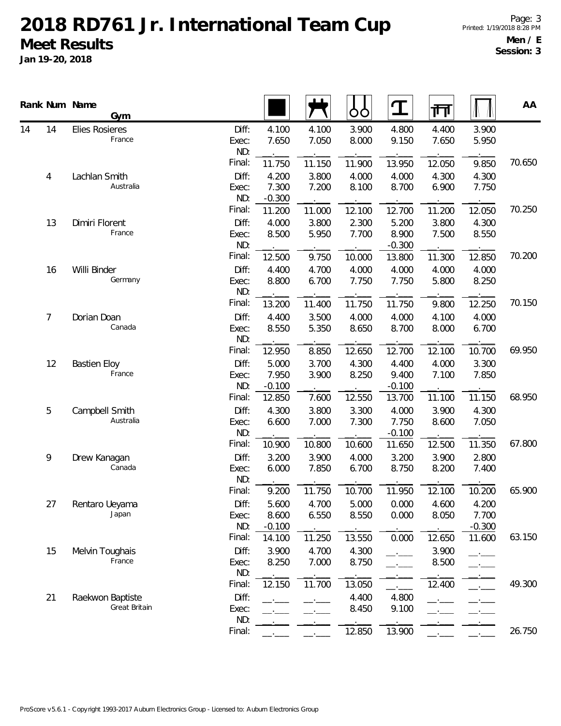# **2018 RD761 Jr. International Team Cup Meet Results**

**Jan 19-20, 2018**

| 14<br><b>Elies Rosieres</b><br>Diff:<br>4.100<br>3.900<br>4.800<br>4.400<br>3.900<br>4.100<br>France<br>9.150<br>5.950<br>7.650<br>7.050<br>8.000<br>7.650<br>Exec:<br>ND:<br>Final:<br>70.650<br>11.750<br>11.150<br>13.950<br>9.850<br>11.900<br>12.050<br>Diff:<br>4.200<br>4.000<br>4.300<br>Lachlan Smith<br>3.800<br>4.000<br>4.300<br>4<br>Australia<br>Exec:<br>7.300<br>7.200<br>8.100<br>8.700<br>6.900<br>7.750<br>ND:<br>$-0.300$<br>Final:<br>70.250<br>11.200<br>11.000<br>12.100<br>12.700<br>11.200<br>12.050<br>Diff:<br>5.200<br>Dimiri Florent<br>4.000<br>3.800<br>2.300<br>3.800<br>4.300<br>13<br>France<br>8.900<br>8.500<br>5.950<br>7.700<br>7.500<br>8.550<br>Exec:<br>ND:<br>$-0.300$<br>Final:<br>70.200<br>12.850<br>12.500<br>9.750<br>10.000<br>13.800<br>11.300<br>Diff:<br>Willi Binder<br>4.400<br>4.700<br>4.000<br>4.000<br>4.000<br>4.000<br>16<br>Germany<br>Exec:<br>8.800<br>6.700<br>7.750<br>7.750<br>5.800<br>8.250<br>ND:<br>Final:<br>70.150<br>13.200<br>11.400<br>11.750<br>12.250<br>11.750<br>9.800<br>Diff:<br>3.500<br>4.000<br>4.000<br>7<br>Dorian Doan<br>4.400<br>4.100<br>4.000<br>Canada<br>8.550<br>5.350<br>8.650<br>8.700<br>8.000<br>6.700<br>Exec:<br>ND:<br>Final:<br>69.950<br>12.950<br>8.850<br>12.650<br>12.700<br>12.100<br>10.700<br>Diff:<br>5.000<br>4.300<br>4.000<br>3.300<br>3.700<br>4.400<br>12<br><b>Bastien Eloy</b><br>France<br>9.400<br>Exec:<br>7.950<br>3.900<br>8.250<br>7.100<br>7.850<br>ND:<br>$-0.100$<br>$-0.100$<br>Final:<br>11.150<br>68.950<br>12.850<br>12.550<br>13.700<br>7.600<br>11.100<br>5<br>Campbell Smith<br>Diff:<br>3.800<br>4.300<br>3.300<br>4.000<br>3.900<br>4.300<br>Australia<br>6.600<br>7.000<br>7.300<br>7.750<br>8.600<br>7.050<br>Exec:<br>ND:<br>$-0.100$<br>Final:<br>67.800<br>11.350<br>10.900<br>10.800<br>10.600<br>11.650<br>12.500<br>Diff:<br>3.200<br>3.900<br>4.000<br>9<br>Drew Kanagan<br>3.200<br>3.900<br>2.800<br>Canada<br>6.700<br>8.750<br>8.200<br>Exec:<br>6.000<br>7.850<br>7.400<br>ND:<br>Final:<br>9.200<br>11.750<br>10.700<br>11.950<br>10.200<br>65.900<br>12.100<br>Diff:<br>27<br>5.600<br>4.700<br>5.000<br>0.000<br>4.600<br>4.200<br>Rentaro Ueyama<br>Japan<br>6.550<br>8.550<br>0.000<br>8.050<br>7.700<br>Exec:<br>8.600<br>ND:<br>$-0.100$<br>$-0.300$<br>Final:<br>63.150<br>13.550<br>11.600<br>14.100<br>11.250<br>0.000<br>12.650<br>Diff:<br>3.900<br>4.700<br>4.300<br>3.900<br>15<br>Melvin Toughais<br>France<br>8.750<br>Exec:<br>8.250<br>7.000<br>8.500<br>ND:<br>Final:<br>49.300<br>12.150<br>11.700<br>13.050<br>12.400<br>4.800<br>Diff:<br>21<br>Raekwon Baptiste<br>4.400<br>Great Britain<br>9.100<br>8.450<br>Exec:<br>ND: |    | Rank Num Name<br>Gym |        |  | ÒO     | ${\bf T}$ | 帀 | AA     |
|--------------------------------------------------------------------------------------------------------------------------------------------------------------------------------------------------------------------------------------------------------------------------------------------------------------------------------------------------------------------------------------------------------------------------------------------------------------------------------------------------------------------------------------------------------------------------------------------------------------------------------------------------------------------------------------------------------------------------------------------------------------------------------------------------------------------------------------------------------------------------------------------------------------------------------------------------------------------------------------------------------------------------------------------------------------------------------------------------------------------------------------------------------------------------------------------------------------------------------------------------------------------------------------------------------------------------------------------------------------------------------------------------------------------------------------------------------------------------------------------------------------------------------------------------------------------------------------------------------------------------------------------------------------------------------------------------------------------------------------------------------------------------------------------------------------------------------------------------------------------------------------------------------------------------------------------------------------------------------------------------------------------------------------------------------------------------------------------------------------------------------------------------------------------------------------------------------------------------------------------------------------------------------------------------------------------------------------------------------------------------------------------------------------------------------------------------------------------------------------------------------------------------------------------------------------------------------------------------------------------------------------------------------------------------------------------------------|----|----------------------|--------|--|--------|-----------|---|--------|
|                                                                                                                                                                                                                                                                                                                                                                                                                                                                                                                                                                                                                                                                                                                                                                                                                                                                                                                                                                                                                                                                                                                                                                                                                                                                                                                                                                                                                                                                                                                                                                                                                                                                                                                                                                                                                                                                                                                                                                                                                                                                                                                                                                                                                                                                                                                                                                                                                                                                                                                                                                                                                                                                                                        | 14 |                      |        |  |        |           |   |        |
|                                                                                                                                                                                                                                                                                                                                                                                                                                                                                                                                                                                                                                                                                                                                                                                                                                                                                                                                                                                                                                                                                                                                                                                                                                                                                                                                                                                                                                                                                                                                                                                                                                                                                                                                                                                                                                                                                                                                                                                                                                                                                                                                                                                                                                                                                                                                                                                                                                                                                                                                                                                                                                                                                                        |    |                      |        |  |        |           |   |        |
|                                                                                                                                                                                                                                                                                                                                                                                                                                                                                                                                                                                                                                                                                                                                                                                                                                                                                                                                                                                                                                                                                                                                                                                                                                                                                                                                                                                                                                                                                                                                                                                                                                                                                                                                                                                                                                                                                                                                                                                                                                                                                                                                                                                                                                                                                                                                                                                                                                                                                                                                                                                                                                                                                                        |    |                      |        |  |        |           |   |        |
|                                                                                                                                                                                                                                                                                                                                                                                                                                                                                                                                                                                                                                                                                                                                                                                                                                                                                                                                                                                                                                                                                                                                                                                                                                                                                                                                                                                                                                                                                                                                                                                                                                                                                                                                                                                                                                                                                                                                                                                                                                                                                                                                                                                                                                                                                                                                                                                                                                                                                                                                                                                                                                                                                                        |    |                      |        |  |        |           |   |        |
|                                                                                                                                                                                                                                                                                                                                                                                                                                                                                                                                                                                                                                                                                                                                                                                                                                                                                                                                                                                                                                                                                                                                                                                                                                                                                                                                                                                                                                                                                                                                                                                                                                                                                                                                                                                                                                                                                                                                                                                                                                                                                                                                                                                                                                                                                                                                                                                                                                                                                                                                                                                                                                                                                                        |    |                      |        |  |        |           |   |        |
|                                                                                                                                                                                                                                                                                                                                                                                                                                                                                                                                                                                                                                                                                                                                                                                                                                                                                                                                                                                                                                                                                                                                                                                                                                                                                                                                                                                                                                                                                                                                                                                                                                                                                                                                                                                                                                                                                                                                                                                                                                                                                                                                                                                                                                                                                                                                                                                                                                                                                                                                                                                                                                                                                                        |    |                      |        |  |        |           |   |        |
|                                                                                                                                                                                                                                                                                                                                                                                                                                                                                                                                                                                                                                                                                                                                                                                                                                                                                                                                                                                                                                                                                                                                                                                                                                                                                                                                                                                                                                                                                                                                                                                                                                                                                                                                                                                                                                                                                                                                                                                                                                                                                                                                                                                                                                                                                                                                                                                                                                                                                                                                                                                                                                                                                                        |    |                      |        |  |        |           |   |        |
|                                                                                                                                                                                                                                                                                                                                                                                                                                                                                                                                                                                                                                                                                                                                                                                                                                                                                                                                                                                                                                                                                                                                                                                                                                                                                                                                                                                                                                                                                                                                                                                                                                                                                                                                                                                                                                                                                                                                                                                                                                                                                                                                                                                                                                                                                                                                                                                                                                                                                                                                                                                                                                                                                                        |    |                      |        |  |        |           |   |        |
|                                                                                                                                                                                                                                                                                                                                                                                                                                                                                                                                                                                                                                                                                                                                                                                                                                                                                                                                                                                                                                                                                                                                                                                                                                                                                                                                                                                                                                                                                                                                                                                                                                                                                                                                                                                                                                                                                                                                                                                                                                                                                                                                                                                                                                                                                                                                                                                                                                                                                                                                                                                                                                                                                                        |    |                      |        |  |        |           |   |        |
|                                                                                                                                                                                                                                                                                                                                                                                                                                                                                                                                                                                                                                                                                                                                                                                                                                                                                                                                                                                                                                                                                                                                                                                                                                                                                                                                                                                                                                                                                                                                                                                                                                                                                                                                                                                                                                                                                                                                                                                                                                                                                                                                                                                                                                                                                                                                                                                                                                                                                                                                                                                                                                                                                                        |    |                      |        |  |        |           |   |        |
|                                                                                                                                                                                                                                                                                                                                                                                                                                                                                                                                                                                                                                                                                                                                                                                                                                                                                                                                                                                                                                                                                                                                                                                                                                                                                                                                                                                                                                                                                                                                                                                                                                                                                                                                                                                                                                                                                                                                                                                                                                                                                                                                                                                                                                                                                                                                                                                                                                                                                                                                                                                                                                                                                                        |    |                      |        |  |        |           |   |        |
|                                                                                                                                                                                                                                                                                                                                                                                                                                                                                                                                                                                                                                                                                                                                                                                                                                                                                                                                                                                                                                                                                                                                                                                                                                                                                                                                                                                                                                                                                                                                                                                                                                                                                                                                                                                                                                                                                                                                                                                                                                                                                                                                                                                                                                                                                                                                                                                                                                                                                                                                                                                                                                                                                                        |    |                      |        |  |        |           |   |        |
|                                                                                                                                                                                                                                                                                                                                                                                                                                                                                                                                                                                                                                                                                                                                                                                                                                                                                                                                                                                                                                                                                                                                                                                                                                                                                                                                                                                                                                                                                                                                                                                                                                                                                                                                                                                                                                                                                                                                                                                                                                                                                                                                                                                                                                                                                                                                                                                                                                                                                                                                                                                                                                                                                                        |    |                      |        |  |        |           |   |        |
|                                                                                                                                                                                                                                                                                                                                                                                                                                                                                                                                                                                                                                                                                                                                                                                                                                                                                                                                                                                                                                                                                                                                                                                                                                                                                                                                                                                                                                                                                                                                                                                                                                                                                                                                                                                                                                                                                                                                                                                                                                                                                                                                                                                                                                                                                                                                                                                                                                                                                                                                                                                                                                                                                                        |    |                      |        |  |        |           |   |        |
|                                                                                                                                                                                                                                                                                                                                                                                                                                                                                                                                                                                                                                                                                                                                                                                                                                                                                                                                                                                                                                                                                                                                                                                                                                                                                                                                                                                                                                                                                                                                                                                                                                                                                                                                                                                                                                                                                                                                                                                                                                                                                                                                                                                                                                                                                                                                                                                                                                                                                                                                                                                                                                                                                                        |    |                      |        |  |        |           |   |        |
|                                                                                                                                                                                                                                                                                                                                                                                                                                                                                                                                                                                                                                                                                                                                                                                                                                                                                                                                                                                                                                                                                                                                                                                                                                                                                                                                                                                                                                                                                                                                                                                                                                                                                                                                                                                                                                                                                                                                                                                                                                                                                                                                                                                                                                                                                                                                                                                                                                                                                                                                                                                                                                                                                                        |    |                      |        |  |        |           |   |        |
|                                                                                                                                                                                                                                                                                                                                                                                                                                                                                                                                                                                                                                                                                                                                                                                                                                                                                                                                                                                                                                                                                                                                                                                                                                                                                                                                                                                                                                                                                                                                                                                                                                                                                                                                                                                                                                                                                                                                                                                                                                                                                                                                                                                                                                                                                                                                                                                                                                                                                                                                                                                                                                                                                                        |    |                      |        |  |        |           |   |        |
|                                                                                                                                                                                                                                                                                                                                                                                                                                                                                                                                                                                                                                                                                                                                                                                                                                                                                                                                                                                                                                                                                                                                                                                                                                                                                                                                                                                                                                                                                                                                                                                                                                                                                                                                                                                                                                                                                                                                                                                                                                                                                                                                                                                                                                                                                                                                                                                                                                                                                                                                                                                                                                                                                                        |    |                      |        |  |        |           |   |        |
|                                                                                                                                                                                                                                                                                                                                                                                                                                                                                                                                                                                                                                                                                                                                                                                                                                                                                                                                                                                                                                                                                                                                                                                                                                                                                                                                                                                                                                                                                                                                                                                                                                                                                                                                                                                                                                                                                                                                                                                                                                                                                                                                                                                                                                                                                                                                                                                                                                                                                                                                                                                                                                                                                                        |    |                      |        |  |        |           |   |        |
|                                                                                                                                                                                                                                                                                                                                                                                                                                                                                                                                                                                                                                                                                                                                                                                                                                                                                                                                                                                                                                                                                                                                                                                                                                                                                                                                                                                                                                                                                                                                                                                                                                                                                                                                                                                                                                                                                                                                                                                                                                                                                                                                                                                                                                                                                                                                                                                                                                                                                                                                                                                                                                                                                                        |    |                      |        |  |        |           |   |        |
|                                                                                                                                                                                                                                                                                                                                                                                                                                                                                                                                                                                                                                                                                                                                                                                                                                                                                                                                                                                                                                                                                                                                                                                                                                                                                                                                                                                                                                                                                                                                                                                                                                                                                                                                                                                                                                                                                                                                                                                                                                                                                                                                                                                                                                                                                                                                                                                                                                                                                                                                                                                                                                                                                                        |    |                      |        |  |        |           |   |        |
|                                                                                                                                                                                                                                                                                                                                                                                                                                                                                                                                                                                                                                                                                                                                                                                                                                                                                                                                                                                                                                                                                                                                                                                                                                                                                                                                                                                                                                                                                                                                                                                                                                                                                                                                                                                                                                                                                                                                                                                                                                                                                                                                                                                                                                                                                                                                                                                                                                                                                                                                                                                                                                                                                                        |    |                      |        |  |        |           |   |        |
|                                                                                                                                                                                                                                                                                                                                                                                                                                                                                                                                                                                                                                                                                                                                                                                                                                                                                                                                                                                                                                                                                                                                                                                                                                                                                                                                                                                                                                                                                                                                                                                                                                                                                                                                                                                                                                                                                                                                                                                                                                                                                                                                                                                                                                                                                                                                                                                                                                                                                                                                                                                                                                                                                                        |    |                      |        |  |        |           |   |        |
|                                                                                                                                                                                                                                                                                                                                                                                                                                                                                                                                                                                                                                                                                                                                                                                                                                                                                                                                                                                                                                                                                                                                                                                                                                                                                                                                                                                                                                                                                                                                                                                                                                                                                                                                                                                                                                                                                                                                                                                                                                                                                                                                                                                                                                                                                                                                                                                                                                                                                                                                                                                                                                                                                                        |    |                      |        |  |        |           |   |        |
|                                                                                                                                                                                                                                                                                                                                                                                                                                                                                                                                                                                                                                                                                                                                                                                                                                                                                                                                                                                                                                                                                                                                                                                                                                                                                                                                                                                                                                                                                                                                                                                                                                                                                                                                                                                                                                                                                                                                                                                                                                                                                                                                                                                                                                                                                                                                                                                                                                                                                                                                                                                                                                                                                                        |    |                      |        |  |        |           |   |        |
|                                                                                                                                                                                                                                                                                                                                                                                                                                                                                                                                                                                                                                                                                                                                                                                                                                                                                                                                                                                                                                                                                                                                                                                                                                                                                                                                                                                                                                                                                                                                                                                                                                                                                                                                                                                                                                                                                                                                                                                                                                                                                                                                                                                                                                                                                                                                                                                                                                                                                                                                                                                                                                                                                                        |    |                      |        |  |        |           |   |        |
|                                                                                                                                                                                                                                                                                                                                                                                                                                                                                                                                                                                                                                                                                                                                                                                                                                                                                                                                                                                                                                                                                                                                                                                                                                                                                                                                                                                                                                                                                                                                                                                                                                                                                                                                                                                                                                                                                                                                                                                                                                                                                                                                                                                                                                                                                                                                                                                                                                                                                                                                                                                                                                                                                                        |    |                      |        |  |        |           |   |        |
|                                                                                                                                                                                                                                                                                                                                                                                                                                                                                                                                                                                                                                                                                                                                                                                                                                                                                                                                                                                                                                                                                                                                                                                                                                                                                                                                                                                                                                                                                                                                                                                                                                                                                                                                                                                                                                                                                                                                                                                                                                                                                                                                                                                                                                                                                                                                                                                                                                                                                                                                                                                                                                                                                                        |    |                      |        |  |        |           |   |        |
|                                                                                                                                                                                                                                                                                                                                                                                                                                                                                                                                                                                                                                                                                                                                                                                                                                                                                                                                                                                                                                                                                                                                                                                                                                                                                                                                                                                                                                                                                                                                                                                                                                                                                                                                                                                                                                                                                                                                                                                                                                                                                                                                                                                                                                                                                                                                                                                                                                                                                                                                                                                                                                                                                                        |    |                      |        |  |        |           |   |        |
|                                                                                                                                                                                                                                                                                                                                                                                                                                                                                                                                                                                                                                                                                                                                                                                                                                                                                                                                                                                                                                                                                                                                                                                                                                                                                                                                                                                                                                                                                                                                                                                                                                                                                                                                                                                                                                                                                                                                                                                                                                                                                                                                                                                                                                                                                                                                                                                                                                                                                                                                                                                                                                                                                                        |    |                      |        |  |        |           |   |        |
|                                                                                                                                                                                                                                                                                                                                                                                                                                                                                                                                                                                                                                                                                                                                                                                                                                                                                                                                                                                                                                                                                                                                                                                                                                                                                                                                                                                                                                                                                                                                                                                                                                                                                                                                                                                                                                                                                                                                                                                                                                                                                                                                                                                                                                                                                                                                                                                                                                                                                                                                                                                                                                                                                                        |    |                      |        |  |        |           |   |        |
|                                                                                                                                                                                                                                                                                                                                                                                                                                                                                                                                                                                                                                                                                                                                                                                                                                                                                                                                                                                                                                                                                                                                                                                                                                                                                                                                                                                                                                                                                                                                                                                                                                                                                                                                                                                                                                                                                                                                                                                                                                                                                                                                                                                                                                                                                                                                                                                                                                                                                                                                                                                                                                                                                                        |    |                      |        |  |        |           |   |        |
|                                                                                                                                                                                                                                                                                                                                                                                                                                                                                                                                                                                                                                                                                                                                                                                                                                                                                                                                                                                                                                                                                                                                                                                                                                                                                                                                                                                                                                                                                                                                                                                                                                                                                                                                                                                                                                                                                                                                                                                                                                                                                                                                                                                                                                                                                                                                                                                                                                                                                                                                                                                                                                                                                                        |    |                      |        |  |        |           |   |        |
|                                                                                                                                                                                                                                                                                                                                                                                                                                                                                                                                                                                                                                                                                                                                                                                                                                                                                                                                                                                                                                                                                                                                                                                                                                                                                                                                                                                                                                                                                                                                                                                                                                                                                                                                                                                                                                                                                                                                                                                                                                                                                                                                                                                                                                                                                                                                                                                                                                                                                                                                                                                                                                                                                                        |    |                      |        |  |        |           |   |        |
|                                                                                                                                                                                                                                                                                                                                                                                                                                                                                                                                                                                                                                                                                                                                                                                                                                                                                                                                                                                                                                                                                                                                                                                                                                                                                                                                                                                                                                                                                                                                                                                                                                                                                                                                                                                                                                                                                                                                                                                                                                                                                                                                                                                                                                                                                                                                                                                                                                                                                                                                                                                                                                                                                                        |    |                      |        |  |        |           |   |        |
|                                                                                                                                                                                                                                                                                                                                                                                                                                                                                                                                                                                                                                                                                                                                                                                                                                                                                                                                                                                                                                                                                                                                                                                                                                                                                                                                                                                                                                                                                                                                                                                                                                                                                                                                                                                                                                                                                                                                                                                                                                                                                                                                                                                                                                                                                                                                                                                                                                                                                                                                                                                                                                                                                                        |    |                      | Final: |  | 12.850 | 13.900    |   | 26.750 |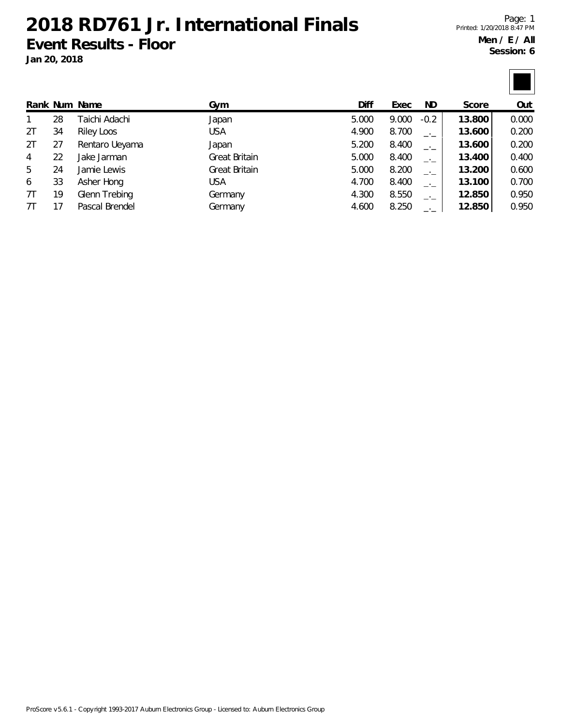**2018 RD761 Jr. International Finals Event Results - Floor**

**Jan 20, 2018**

Page: 1 Printed: 1/20/2018 8:47 PM **Men / E / All Session: 6**

|                |    | Rank Num Name  | Gym           | Diff  | Exec  | ND.       | Score  | Out   |
|----------------|----|----------------|---------------|-------|-------|-----------|--------|-------|
| 1              | 28 | Taichi Adachi  | Japan         | 5.000 | 9.000 | $-0.2$    | 13.800 | 0.000 |
| 2T             | 34 | Riley Loos     | <b>USA</b>    | 4.900 | 8.700 | $-1$      | 13.600 | 0.200 |
| 2T             | 27 | Rentaro Ueyama | Japan         | 5.200 | 8.400 | $ -$      | 13.600 | 0.200 |
| $\overline{4}$ | 22 | Jake Jarman    | Great Britain | 5.000 | 8.400 | $-1$      | 13.400 | 0.400 |
| 5              | 24 | Jamie Lewis    | Great Britain | 5.000 | 8.200 | $-1$      | 13.200 | 0.600 |
| 6              | 33 | Asher Hong     | <b>USA</b>    | 4.700 | 8.400 | $-1$      | 13.100 | 0.700 |
| 7T             | 19 | Glenn Trebing  | Germany       | 4.300 | 8.550 | $-$ ' $-$ | 12.850 | 0.950 |
| 7Τ             | 17 | Pascal Brendel | Germany       | 4.600 | 8.250 |           | 12.850 | 0.950 |

ProScore v5.6.1 - Copyright 1993-2017 Auburn Electronics Group - Licensed to: Auburn Electronics Group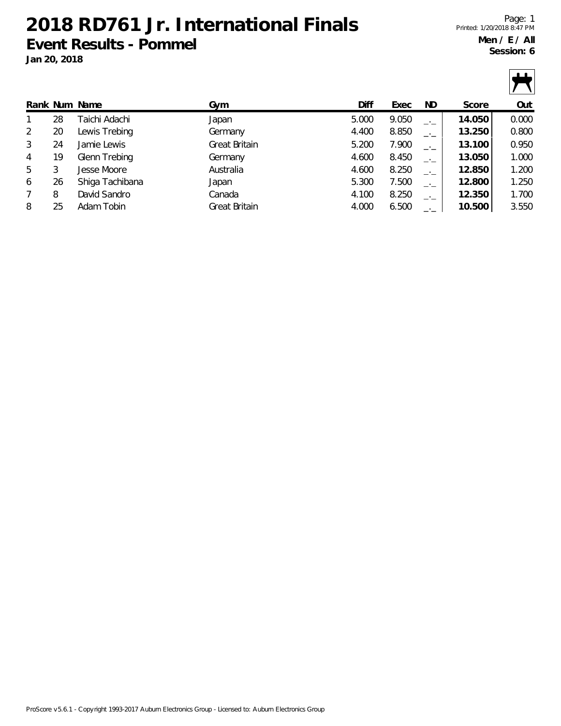**2018 RD761 Jr. International Finals Event Results - Pommel**

**Jan 20, 2018**

 $\mathbf{u}$ 

|                |    | Rank Num Name   | Gym           | Diff  | Exec  | ND.  | Score  | Out   |
|----------------|----|-----------------|---------------|-------|-------|------|--------|-------|
|                | 28 | Taichi Adachi   | Japan         | 5.000 | 9.050 | $-1$ | 14.050 | 0.000 |
| 2              | 20 | Lewis Trebing   | Germany       | 4.400 | 8.850 | $-1$ | 13.250 | 0.800 |
| 3              | 24 | Jamie Lewis     | Great Britain | 5.200 | 7.900 | $-1$ | 13.100 | 0.950 |
| 4              | 19 | Glenn Trebing   | Germany       | 4.600 | 8.450 | $-1$ | 13.050 | 1.000 |
| 5              | 3  | Jesse Moore     | Australia     | 4.600 | 8.250 | $-1$ | 12.850 | 1.200 |
| 6              | 26 | Shiga Tachibana | Japan         | 5.300 | 7.500 | $-1$ | 12.800 | 1.250 |
| $\overline{7}$ | 8  | David Sandro    | Canada        | 4.100 | 8.250 | $-1$ | 12.350 | 1.700 |
| 8              | 25 | Adam Tobin      | Great Britain | 4.000 | 6.500 | $-1$ | 10.500 | 3.550 |
|                |    |                 |               |       |       |      |        |       |

ProScore v5.6.1 - Copyright 1993-2017 Auburn Electronics Group - Licensed to: Auburn Electronics Group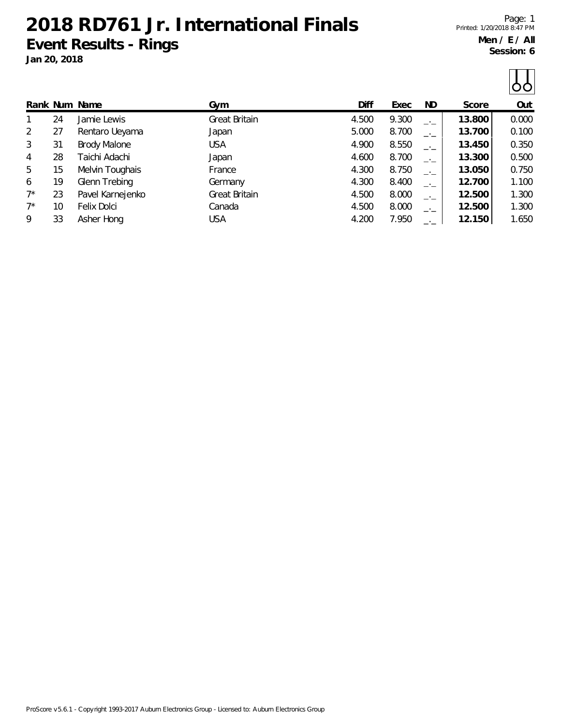**2018 RD761 Jr. International Finals Event Results - Rings Jan 20, 2018**

Page: 1 Printed: 1/20/2018 8:47 PM **Men / E / All Session: 6**

 $\prod$ 

|       |    |                     |               |       |       |      |        | $\cup$ |
|-------|----|---------------------|---------------|-------|-------|------|--------|--------|
|       |    | Rank Num Name       | Gym           | Diff  | Exec  | ND.  | Score  | Out    |
|       | 24 | Jamie Lewis         | Great Britain | 4.500 | 9.300 | $-1$ | 13.800 | 0.000  |
| 2     | 27 | Rentaro Ueyama      | Japan         | 5.000 | 8.700 | $-1$ | 13.700 | 0.100  |
| 3     | 31 | <b>Brody Malone</b> | <b>USA</b>    | 4.900 | 8.550 | $ -$ | 13.450 | 0.350  |
| 4     | 28 | Taichi Adachi       | Japan         | 4.600 | 8.700 | $ -$ | 13.300 | 0.500  |
| 5     | 15 | Melvin Toughais     | France        | 4.300 | 8.750 | $-1$ | 13.050 | 0.750  |
| 6     | 19 | Glenn Trebing       | Germany       | 4.300 | 8.400 | $-1$ | 12.700 | 1.100  |
| $7^*$ | 23 | Pavel Karnejenko    | Great Britain | 4.500 | 8.000 | $-1$ | 12.500 | 1.300  |
| $7^*$ | 10 | Felix Dolci         | Canada        | 4.500 | 8.000 | $-1$ | 12.500 | 1.300  |
| 9     | 33 | Asher Hong          | <b>USA</b>    | 4.200 | 7.950 |      | 12.150 | 1.650  |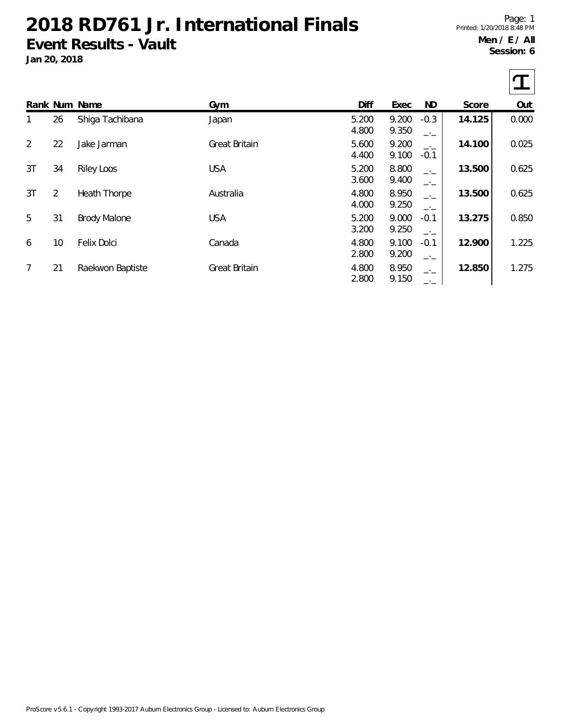## **2018 RD761 Jr. International Finals Event Results - Vault**

**Jan 20, 2018**

Page: 1 Printed: 1/20/2018 8:48 PM **Men / E / All Session: 6**

|              |                | Rank Num Name       | Gym                  | Diff           | Exec           | ND                | Score  | Out   |
|--------------|----------------|---------------------|----------------------|----------------|----------------|-------------------|--------|-------|
| $\mathbf{1}$ | 26             | Shiga Tachibana     | Japan                | 5.200<br>4.800 | 9.200<br>9.350 | $-0.3$<br>$-1$    | 14.125 | 0.000 |
| 2            | 22             | Jake Jarman         | <b>Great Britain</b> | 5.600<br>4.400 | 9.200<br>9.100 | $-1$<br>$-0.1$    | 14.100 | 0.025 |
| 3T           | 34             | <b>Riley Loos</b>   | <b>USA</b>           | 5.200<br>3.600 | 8.800<br>9.400 | $-1$<br>$-$ ' $-$ | 13.500 | 0.625 |
| 3T           | $\overline{2}$ | Heath Thorpe        | Australia            | 4.800<br>4.000 | 8.950<br>9.250 | $-1$<br>$-1$      | 13.500 | 0.625 |
| 5            | 31             | <b>Brody Malone</b> | <b>USA</b>           | 5.200<br>3.200 | 9.000<br>9.250 | $-0.1$<br>$ -$    | 13.275 | 0.850 |
| 6            | 10             | Felix Dolci         | Canada               | 4.800<br>2.800 | 9.100<br>9.200 | $-0.1$<br>$-1$    | 12.900 | 1.225 |
| 7            | 21             | Raekwon Baptiste    | Great Britain        | 4.800<br>2.800 | 8.950<br>9.150 |                   | 12.850 | 1.275 |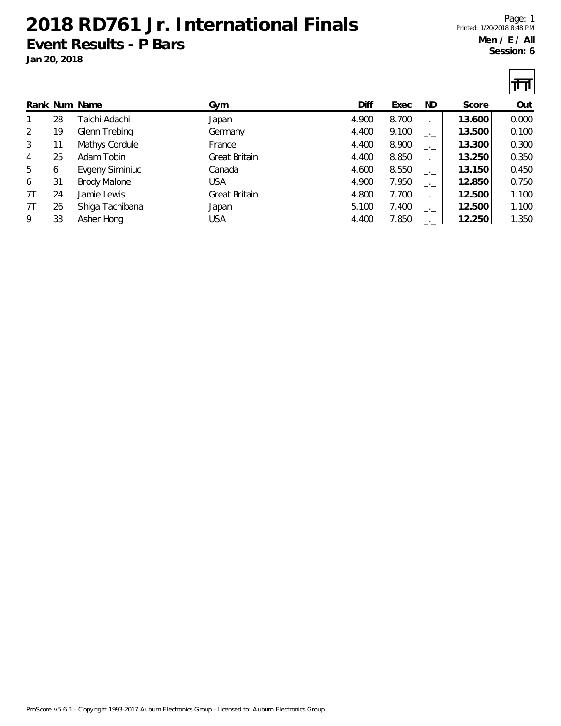**2018 RD761 Jr. International Finals Event Results - P Bars Jan 20, 2018**

Page: 1 Printed: 1/20/2018 8:48 PM **Men / E / All Session: 6**

|                |    |                     |               |       |       |      |        | րը    |
|----------------|----|---------------------|---------------|-------|-------|------|--------|-------|
|                |    | Rank Num Name       | Gym           | Diff  | Exec  | ND.  | Score  | Out   |
| 1              | 28 | Taichi Adachi       | Japan         | 4.900 | 8.700 | $-1$ | 13.600 | 0.000 |
| 2              | 19 | Glenn Trebing       | Germany       | 4.400 | 9.100 | $-1$ | 13.500 | 0.100 |
| 3              | 11 | Mathys Cordule      | France        | 4.400 | 8.900 | $-1$ | 13.300 | 0.300 |
| $\overline{4}$ | 25 | Adam Tobin          | Great Britain | 4.400 | 8.850 | $-1$ | 13.250 | 0.350 |
| 5              | 6  | Evgeny Siminiuc     | Canada        | 4.600 | 8.550 | $ -$ | 13.150 | 0.450 |
| 6              | 31 | <b>Brody Malone</b> | <b>USA</b>    | 4.900 | 7.950 | $-1$ | 12.850 | 0.750 |
| 7T             | 24 | Jamie Lewis         | Great Britain | 4.800 | 7.700 | $-1$ | 12.500 | 1.100 |
| 7T             | 26 | Shiga Tachibana     | Japan         | 5.100 | 7.400 | $-1$ | 12.500 | 1.100 |
| 9              | 33 | Asher Hong          | <b>USA</b>    | 4.400 | 7.850 | $-1$ | 12.250 | 1.350 |

ProScore v5.6.1 - Copyright 1993-2017 Auburn Electronics Group - Licensed to: Auburn Electronics Group